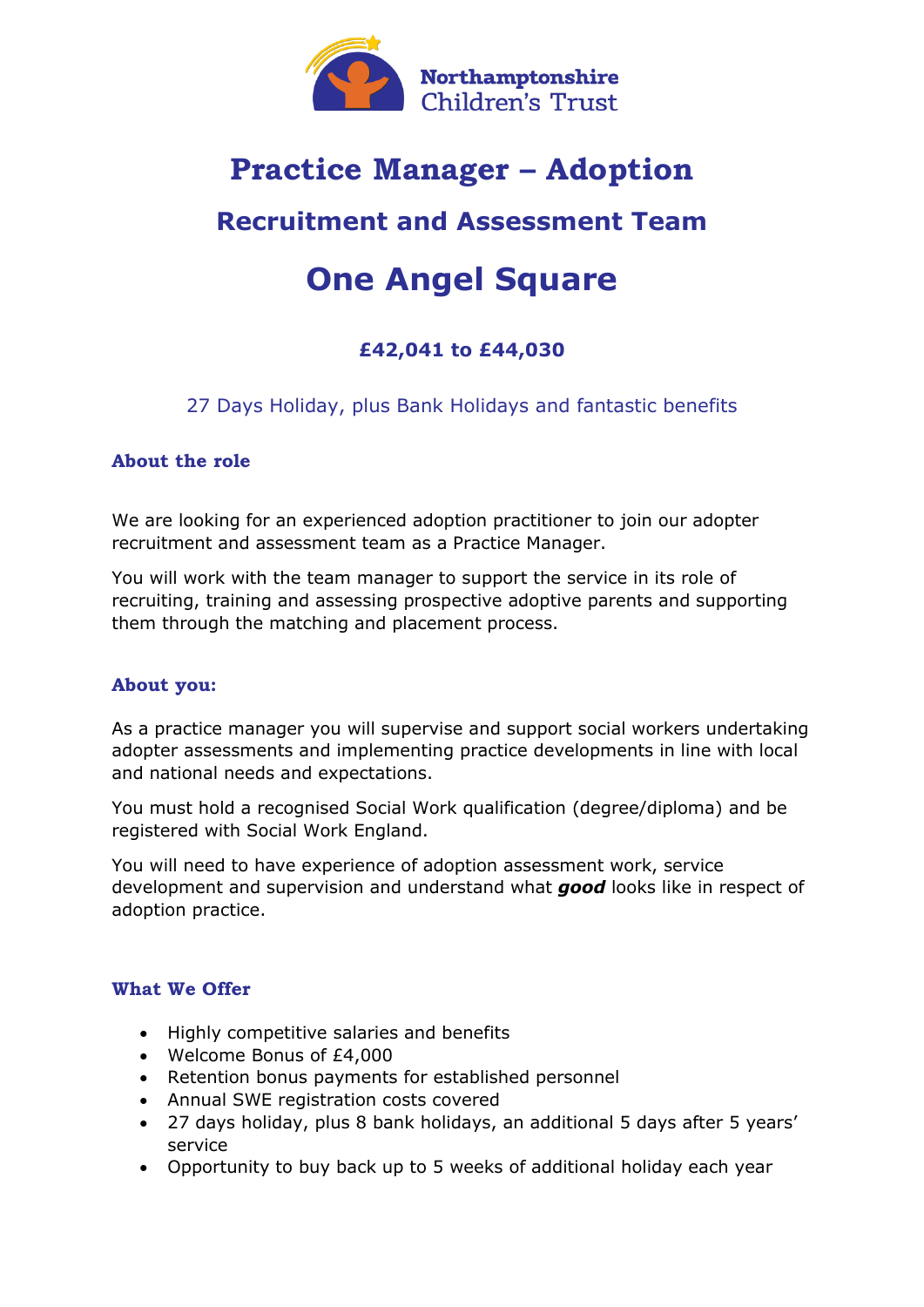

# **Practice Manager – Adoption**

# **Recruitment and Assessment Team**

# **One Angel Square**

# **£42,041 to £44,030**

## 27 Days Holiday, plus Bank Holidays and fantastic benefits

### **About the role**

We are looking for an experienced adoption practitioner to join our adopter recruitment and assessment team as a Practice Manager.

You will work with the team manager to support the service in its role of recruiting, training and assessing prospective adoptive parents and supporting them through the matching and placement process.

### **About you:**

As a practice manager you will supervise and support social workers undertaking adopter assessments and implementing practice developments in line with local and national needs and expectations.

You must hold a recognised Social Work qualification (degree/diploma) and be registered with Social Work England.

You will need to have experience of adoption assessment work, service development and supervision and understand what *good* looks like in respect of adoption practice.

### **What We Offer**

- Highly competitive salaries and benefits
- Welcome Bonus of £4,000
- Retention bonus payments for established personnel
- Annual SWE registration costs covered
- 27 days holiday, plus 8 bank holidays, an additional 5 days after 5 years' service
- Opportunity to buy back up to 5 weeks of additional holiday each year